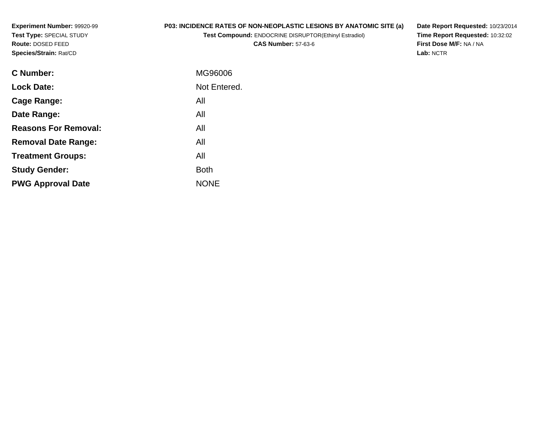**Experiment Number:** 99920-99**Test Type:** SPECIAL STUDY**Route:** DOSED FEED**Species/Strain:** Rat/CD

# **P03: INCIDENCE RATES OF NON-NEOPLASTIC LESIONS BY ANATOMIC SITE (a)**

**Test Compound:** ENDOCRINE DISRUPTOR(Ethinyl Estradiol)

**CAS Number:** 57-63-6

**Date Report Requested:** 10/23/2014 **Time Report Requested:** 10:32:02**First Dose M/F:** NA / NA**Lab:** NCTR

| MG96006      |
|--------------|
| Not Entered. |
| All          |
| All          |
| All          |
| All          |
| All          |
| <b>Both</b>  |
| <b>NONE</b>  |
|              |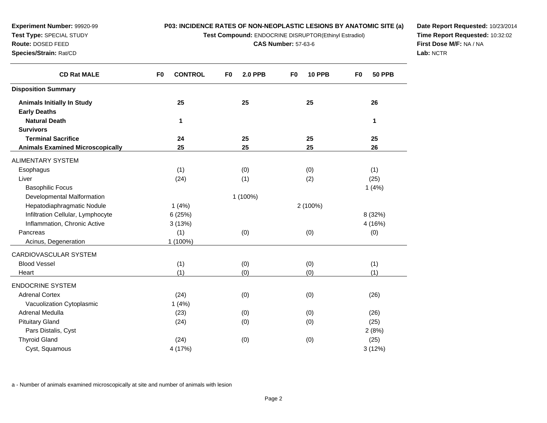**Test Compound:** ENDOCRINE DISRUPTOR(Ethinyl Estradiol)

**CAS Number:** 57-63-6

**Date Report Requested:** 10/23/2014**Time Report Requested:** 10:32:02**First Dose M/F:** NA / NA**Lab:** NCTR

| <b>CD Rat MALE</b>                      | <b>CONTROL</b><br>F <sub>0</sub> | F <sub>0</sub><br><b>2.0 PPB</b> | <b>10 PPB</b><br>F <sub>0</sub> | <b>50 PPB</b><br>F <sub>0</sub> |
|-----------------------------------------|----------------------------------|----------------------------------|---------------------------------|---------------------------------|
| <b>Disposition Summary</b>              |                                  |                                  |                                 |                                 |
| <b>Animals Initially In Study</b>       | 25                               | 25                               | 25                              | 26                              |
| <b>Early Deaths</b>                     |                                  |                                  |                                 |                                 |
| <b>Natural Death</b>                    | 1                                |                                  |                                 | 1                               |
| <b>Survivors</b>                        |                                  |                                  |                                 |                                 |
| <b>Terminal Sacrifice</b>               | 24                               | 25                               | 25                              | 25                              |
| <b>Animals Examined Microscopically</b> | 25                               | 25                               | 25                              | 26                              |
| ALIMENTARY SYSTEM                       |                                  |                                  |                                 |                                 |
| Esophagus                               | (1)                              | (0)                              | (0)                             | (1)                             |
| Liver                                   | (24)                             | (1)                              | (2)                             | (25)                            |
| <b>Basophilic Focus</b>                 |                                  |                                  |                                 | 1(4%)                           |
| Developmental Malformation              |                                  | 1 (100%)                         |                                 |                                 |
| Hepatodiaphragmatic Nodule              | 1(4%)                            |                                  | 2 (100%)                        |                                 |
| Infiltration Cellular, Lymphocyte       | 6(25%)                           |                                  |                                 | 8 (32%)                         |
| Inflammation, Chronic Active            | 3(13%)                           |                                  |                                 | 4 (16%)                         |
| Pancreas                                | (1)                              | (0)                              | (0)                             | (0)                             |
| Acinus, Degeneration                    | 1 (100%)                         |                                  |                                 |                                 |
| CARDIOVASCULAR SYSTEM                   |                                  |                                  |                                 |                                 |
| <b>Blood Vessel</b>                     | (1)                              | (0)                              | (0)                             | (1)                             |
| Heart                                   | (1)                              | (0)                              | (0)                             | (1)                             |
| <b>ENDOCRINE SYSTEM</b>                 |                                  |                                  |                                 |                                 |
| <b>Adrenal Cortex</b>                   | (24)                             | (0)                              | (0)                             | (26)                            |
| Vacuolization Cytoplasmic               | 1(4%)                            |                                  |                                 |                                 |
| Adrenal Medulla                         | (23)                             | (0)                              | (0)                             | (26)                            |
| <b>Pituitary Gland</b>                  | (24)                             | (0)                              | (0)                             | (25)                            |
| Pars Distalis, Cyst                     |                                  |                                  |                                 | 2(8%)                           |
| <b>Thyroid Gland</b>                    | (24)                             | (0)                              | (0)                             | (25)                            |
| Cyst, Squamous                          | 4 (17%)                          |                                  |                                 | 3(12%)                          |

a - Number of animals examined microscopically at site and number of animals with lesion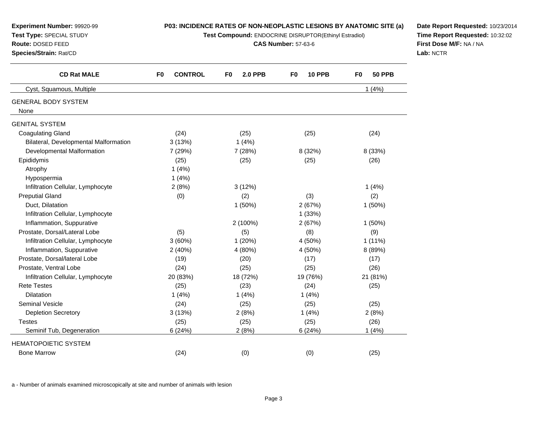| Experiment Number: 99920-99<br>Test Type: SPECIAL STUDY<br>Route: DOSED FEED<br>Species/Strain: Rat/CD | P03: INCIDENCE RATES OF NON-NEOPLASTIC LESIONS BY ANATOMIC SITE (a)<br>Test Compound: ENDOCRINE DISRUPTOR(Ethinyl Estradiol)<br><b>CAS Number: 57-63-6</b> |                      |                     |                                 | Date Report Requested: 10/23/2014<br>Time Report Requested: 10:32:02<br>First Dose M/F: NA / NA<br>Lab: NCTR |
|--------------------------------------------------------------------------------------------------------|------------------------------------------------------------------------------------------------------------------------------------------------------------|----------------------|---------------------|---------------------------------|--------------------------------------------------------------------------------------------------------------|
| <b>CD Rat MALE</b>                                                                                     | <b>CONTROL</b><br>F0                                                                                                                                       | <b>2.0 PPB</b><br>F0 | <b>10 PPB</b><br>F0 | <b>50 PPB</b><br>F <sub>0</sub> |                                                                                                              |
| Cyst, Squamous, Multiple                                                                               |                                                                                                                                                            |                      |                     | 1(4%)                           |                                                                                                              |
| <b>GENERAL BODY SYSTEM</b><br>None                                                                     |                                                                                                                                                            |                      |                     |                                 |                                                                                                              |
| <b>GENITAL SYSTEM</b>                                                                                  |                                                                                                                                                            |                      |                     |                                 |                                                                                                              |
| <b>Coagulating Gland</b><br>Bilateral, Developmental Malformation                                      | (24)<br>3(13%)                                                                                                                                             | (25)<br>1(4%)        | (25)                | (24)                            |                                                                                                              |
| Developmental Malformation<br>Epididymis                                                               | 7 (29%)<br>(25)                                                                                                                                            | 7(28%)<br>(25)       | 8 (32%)<br>(25)     | 8 (33%)<br>(26)                 |                                                                                                              |
| Atrophy<br>Hypospermia                                                                                 | 1(4%)<br>1(4%)                                                                                                                                             |                      |                     |                                 |                                                                                                              |
| Infiltration Cellular, Lymphocyte                                                                      | 2(8%)                                                                                                                                                      | 3(12%)               |                     | 1(4%)                           |                                                                                                              |
| <b>Preputial Gland</b><br>Duct, Dilatation                                                             | (0)                                                                                                                                                        | (2)<br>$1(50\%)$     | (3)<br>2(67%)       | (2)<br>$1(50\%)$                |                                                                                                              |
| Infiltration Cellular, Lymphocyte<br>Inflammation, Suppurative                                         |                                                                                                                                                            | 2 (100%)             | 1(33%)<br>2(67%)    | 1(50%)                          |                                                                                                              |
| Prostate, Dorsal/Lateral Lobe                                                                          | (5)                                                                                                                                                        | (5)                  | (8)                 | (9)                             |                                                                                                              |
| Infiltration Cellular, Lymphocyte                                                                      | 3(60%)                                                                                                                                                     | 1(20%)               | 4 (50%)             | $1(11\%)$                       |                                                                                                              |
| Inflammation, Suppurative                                                                              | 2(40%)                                                                                                                                                     | 4 (80%)              | 4 (50%)             | 8 (89%)                         |                                                                                                              |
| Prostate, Dorsal/lateral Lobe                                                                          | (19)                                                                                                                                                       | (20)                 | (17)                | (17)                            |                                                                                                              |
| Prostate, Ventral Lobe                                                                                 | (24)                                                                                                                                                       | (25)                 | (25)                | (26)                            |                                                                                                              |
| Infiltration Cellular, Lymphocyte                                                                      | 20 (83%)                                                                                                                                                   | 18 (72%)             | 19 (76%)            | 21 (81%)                        |                                                                                                              |
| <b>Rete Testes</b>                                                                                     | (25)                                                                                                                                                       | (23)                 | (24)                | (25)                            |                                                                                                              |
| <b>Dilatation</b>                                                                                      | 1(4%)                                                                                                                                                      | 1(4%)                | 1(4%)               |                                 |                                                                                                              |
| <b>Seminal Vesicle</b>                                                                                 | (24)                                                                                                                                                       | (25)                 | (25)                | (25)                            |                                                                                                              |
| <b>Depletion Secretory</b>                                                                             | 3(13%)                                                                                                                                                     | 2(8%)                | 1(4%)               | 2(8%)                           |                                                                                                              |
| <b>Testes</b>                                                                                          | (25)                                                                                                                                                       | (25)                 | (25)                | (26)                            |                                                                                                              |
| Seminif Tub, Degeneration                                                                              | 6(24%)                                                                                                                                                     | 2(8%)                | 6(24%)              | 1(4%)                           |                                                                                                              |
| <b>HEMATOPOIETIC SYSTEM</b>                                                                            |                                                                                                                                                            |                      |                     |                                 |                                                                                                              |
| <b>Bone Marrow</b>                                                                                     | (24)                                                                                                                                                       | (0)                  | (0)                 | (25)                            |                                                                                                              |

a - Number of animals examined microscopically at site and number of animals with lesion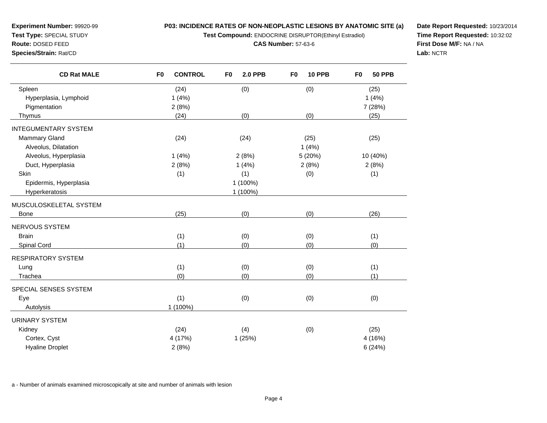**Test Compound:** ENDOCRINE DISRUPTOR(Ethinyl Estradiol)

**CAS Number:** 57-63-6

**Date Report Requested:** 10/23/2014**Time Report Requested:** 10:32:02**First Dose M/F:** NA / NA**Lab:** NCTR

| <b>CD Rat MALE</b>          | <b>CONTROL</b><br>F <sub>0</sub> | F <sub>0</sub><br><b>2.0 PPB</b> | <b>10 PPB</b><br>F <sub>0</sub> | F <sub>0</sub><br><b>50 PPB</b> |
|-----------------------------|----------------------------------|----------------------------------|---------------------------------|---------------------------------|
| Spleen                      | (24)                             | (0)                              | (0)                             | (25)                            |
| Hyperplasia, Lymphoid       | 1(4%)                            |                                  |                                 | 1(4%)                           |
| Pigmentation                | 2(8%)                            |                                  |                                 | 7 (28%)                         |
| Thymus                      | (24)                             | (0)                              | (0)                             | (25)                            |
| <b>INTEGUMENTARY SYSTEM</b> |                                  |                                  |                                 |                                 |
| <b>Mammary Gland</b>        | (24)                             | (24)                             | (25)                            | (25)                            |
| Alveolus, Dilatation        |                                  |                                  | 1(4%)                           |                                 |
| Alveolus, Hyperplasia       | 1(4%)                            | 2(8%)                            | 5 (20%)                         | 10 (40%)                        |
| Duct, Hyperplasia           | 2(8%)                            | 1(4%)                            | 2(8%)                           | 2(8%)                           |
| Skin                        | (1)                              | (1)                              | (0)                             | (1)                             |
| Epidermis, Hyperplasia      |                                  | 1 (100%)                         |                                 |                                 |
| Hyperkeratosis              |                                  | 1 (100%)                         |                                 |                                 |
| MUSCULOSKELETAL SYSTEM      |                                  |                                  |                                 |                                 |
| <b>Bone</b>                 | (25)                             | (0)                              | (0)                             | (26)                            |
| NERVOUS SYSTEM              |                                  |                                  |                                 |                                 |
| <b>Brain</b>                | (1)                              | (0)                              | (0)                             | (1)                             |
| Spinal Cord                 | (1)                              | (0)                              | (0)                             | (0)                             |
| <b>RESPIRATORY SYSTEM</b>   |                                  |                                  |                                 |                                 |
| Lung                        | (1)                              | (0)                              | (0)                             | (1)                             |
| Trachea                     | (0)                              | (0)                              | (0)                             | (1)                             |
| SPECIAL SENSES SYSTEM       |                                  |                                  |                                 |                                 |
| Eye                         | (1)                              | (0)                              | (0)                             | (0)                             |
| Autolysis                   | 1 (100%)                         |                                  |                                 |                                 |
| <b>URINARY SYSTEM</b>       |                                  |                                  |                                 |                                 |
| Kidney                      | (24)                             | (4)                              | (0)                             | (25)                            |
| Cortex, Cyst                | 4 (17%)                          | 1(25%)                           |                                 | 4 (16%)                         |
| <b>Hyaline Droplet</b>      | 2(8%)                            |                                  |                                 | 6(24%)                          |

a - Number of animals examined microscopically at site and number of animals with lesion

**Experiment Number:** 99920-99**Test Type:** SPECIAL STUDY**Route:** DOSED FEED**Species/Strain:** Rat/CD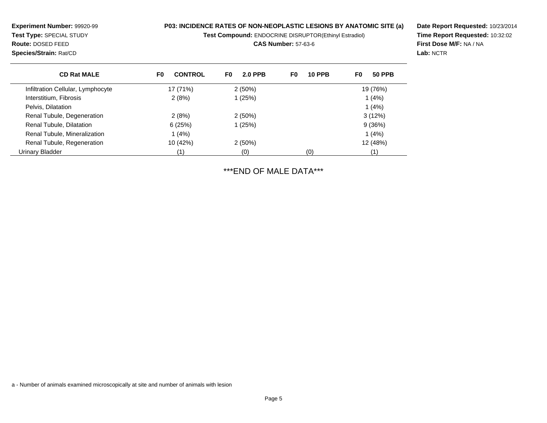**Test Compound:** ENDOCRINE DISRUPTOR(Ethinyl Estradiol)

**CAS Number:** 57-63-6

**Date Report Requested:** 10/23/2014**Time Report Requested:** 10:32:02**First Dose M/F:** NA / NA**Lab:** NCTR

| <b>CD Rat MALE</b>                | <b>CONTROL</b><br>F0 | <b>2.0 PPB</b><br>F0 | F0<br><b>10 PPB</b> | <b>50 PPB</b><br>F0 |
|-----------------------------------|----------------------|----------------------|---------------------|---------------------|
| Infiltration Cellular, Lymphocyte | 17 (71%)             | 2(50%)               |                     | 19 (76%)            |
| Interstitium, Fibrosis            | 2(8%)                | 1(25%)               |                     | 1(4%)               |
| Pelvis, Dilatation                |                      |                      |                     | 1(4%)               |
| Renal Tubule, Degeneration        | 2(8%)                | $2(50\%)$            |                     | 3(12%)              |
| Renal Tubule, Dilatation          | 6(25%)               | 1(25%)               |                     | 9(36%)              |
| Renal Tubule, Mineralization      | 1(4%)                |                      |                     | 1(4%)               |
| Renal Tubule, Regeneration        | 10 (42%)             | 2(50%)               |                     | 12 (48%)            |
| Urinary Bladder                   | (1)                  | (0)                  | (0)                 | (1)                 |

\*\*\*END OF MALE DATA\*\*\*

a - Number of animals examined microscopically at site and number of animals with lesion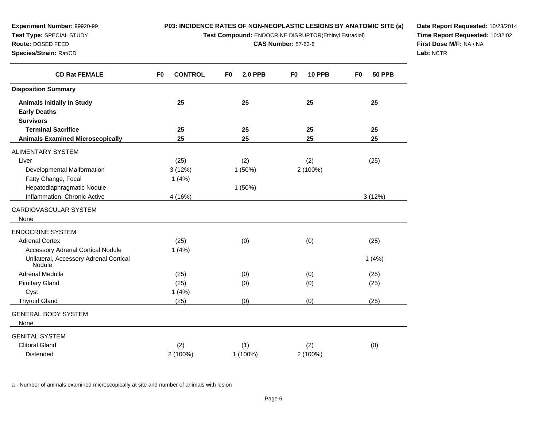**Test Compound:** ENDOCRINE DISRUPTOR(Ethinyl Estradiol)

**CAS Number:** 57-63-6

**Date Report Requested:** 10/23/2014**Time Report Requested:** 10:32:02**First Dose M/F:** NA / NA**Lab:** NCTR

| <b>CD Rat FEMALE</b>                             | <b>CONTROL</b><br>F <sub>0</sub> | F <sub>0</sub><br><b>2.0 PPB</b> | F <sub>0</sub><br><b>10 PPB</b> | <b>50 PPB</b><br>F <sub>0</sub> |
|--------------------------------------------------|----------------------------------|----------------------------------|---------------------------------|---------------------------------|
| <b>Disposition Summary</b>                       |                                  |                                  |                                 |                                 |
| <b>Animals Initially In Study</b>                | 25                               | 25                               | 25                              | 25                              |
| <b>Early Deaths</b>                              |                                  |                                  |                                 |                                 |
| <b>Survivors</b>                                 |                                  |                                  |                                 |                                 |
| <b>Terminal Sacrifice</b>                        | 25                               | 25                               | 25                              | 25                              |
| <b>Animals Examined Microscopically</b>          | 25                               | 25                               | 25                              | 25                              |
| <b>ALIMENTARY SYSTEM</b>                         |                                  |                                  |                                 |                                 |
| Liver                                            | (25)                             | (2)                              | (2)                             | (25)                            |
| Developmental Malformation                       | 3(12%)                           | 1(50%)                           | 2 (100%)                        |                                 |
| Fatty Change, Focal                              | 1(4%)                            |                                  |                                 |                                 |
| Hepatodiaphragmatic Nodule                       |                                  | 1(50%)                           |                                 |                                 |
| Inflammation, Chronic Active                     | 4 (16%)                          |                                  |                                 | 3(12%)                          |
| CARDIOVASCULAR SYSTEM                            |                                  |                                  |                                 |                                 |
| None                                             |                                  |                                  |                                 |                                 |
| <b>ENDOCRINE SYSTEM</b>                          |                                  |                                  |                                 |                                 |
| <b>Adrenal Cortex</b>                            | (25)                             | (0)                              | (0)                             | (25)                            |
| <b>Accessory Adrenal Cortical Nodule</b>         | 1(4%)                            |                                  |                                 |                                 |
| Unilateral, Accessory Adrenal Cortical<br>Nodule |                                  |                                  |                                 | 1(4%)                           |
| <b>Adrenal Medulla</b>                           | (25)                             | (0)                              | (0)                             | (25)                            |
| <b>Pituitary Gland</b>                           | (25)                             | (0)                              | (0)                             | (25)                            |
| Cyst                                             | 1(4%)                            |                                  |                                 |                                 |
| <b>Thyroid Gland</b>                             | (25)                             | (0)                              | (0)                             | (25)                            |
| <b>GENERAL BODY SYSTEM</b>                       |                                  |                                  |                                 |                                 |
| None                                             |                                  |                                  |                                 |                                 |
| <b>GENITAL SYSTEM</b>                            |                                  |                                  |                                 |                                 |
| <b>Clitoral Gland</b>                            | (2)                              | (1)                              | (2)                             | (0)                             |
| <b>Distended</b>                                 | 2 (100%)                         | 1 (100%)                         | 2 (100%)                        |                                 |

a - Number of animals examined microscopically at site and number of animals with lesion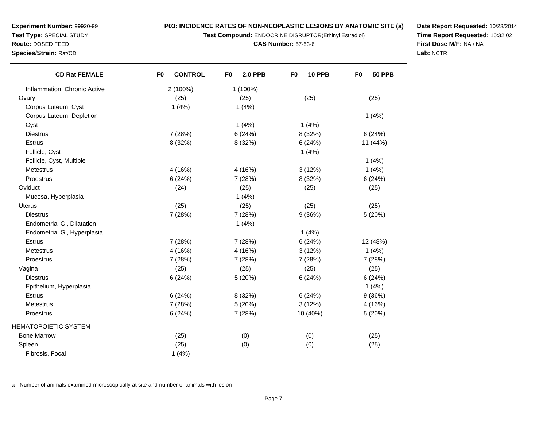**Test Compound:** ENDOCRINE DISRUPTOR(Ethinyl Estradiol)

**CAS Number:** 57-63-6

**Date Report Requested:** 10/23/2014**Time Report Requested:** 10:32:02**First Dose M/F:** NA / NA**Lab:** NCTR

| <b>CD Rat FEMALE</b>              | F <sub>0</sub><br><b>CONTROL</b> | F <sub>0</sub><br><b>2.0 PPB</b> | F <sub>0</sub><br><b>10 PPB</b> | F <sub>0</sub><br><b>50 PPB</b> |
|-----------------------------------|----------------------------------|----------------------------------|---------------------------------|---------------------------------|
| Inflammation, Chronic Active      | 2 (100%)                         | 1 (100%)                         |                                 |                                 |
| Ovary                             | (25)                             | (25)                             | (25)                            | (25)                            |
| Corpus Luteum, Cyst               | 1(4%)                            | 1(4%)                            |                                 |                                 |
| Corpus Luteum, Depletion          |                                  |                                  |                                 | 1(4%)                           |
| Cyst                              |                                  | 1(4%)                            | 1(4%)                           |                                 |
| <b>Diestrus</b>                   | 7 (28%)                          | 6(24%)                           | 8 (32%)                         | 6(24%)                          |
| Estrus                            | 8 (32%)                          | 8 (32%)                          | 6(24%)                          | 11 (44%)                        |
| Follicle, Cyst                    |                                  |                                  | 1(4%)                           |                                 |
| Follicle, Cyst, Multiple          |                                  |                                  |                                 | 1(4%)                           |
| Metestrus                         | 4 (16%)                          | 4(16%)                           | 3(12%)                          | 1(4%)                           |
| Proestrus                         | 6(24%)                           | 7(28%)                           | 8 (32%)                         | 6(24%)                          |
| Oviduct                           | (24)                             | (25)                             | (25)                            | (25)                            |
| Mucosa, Hyperplasia               |                                  | 1(4%)                            |                                 |                                 |
| <b>Uterus</b>                     | (25)                             | (25)                             | (25)                            | (25)                            |
| <b>Diestrus</b>                   | 7 (28%)                          | 7(28%)                           | 9(36%)                          | 5 (20%)                         |
| <b>Endometrial GI, Dilatation</b> |                                  | 1(4%)                            |                                 |                                 |
| Endometrial GI, Hyperplasia       |                                  |                                  | 1(4%)                           |                                 |
| Estrus                            | 7 (28%)                          | 7(28%)                           | 6(24%)                          | 12 (48%)                        |
| <b>Metestrus</b>                  | 4 (16%)                          | 4(16%)                           | 3(12%)                          | 1(4%)                           |
| Proestrus                         | 7 (28%)                          | 7(28%)                           | 7 (28%)                         | 7 (28%)                         |
| Vagina                            | (25)                             | (25)                             | (25)                            | (25)                            |
| <b>Diestrus</b>                   | 6(24%)                           | 5(20%)                           | 6(24%)                          | 6(24%)                          |
| Epithelium, Hyperplasia           |                                  |                                  |                                 | 1(4%)                           |
| <b>Estrus</b>                     | 6(24%)                           | 8 (32%)                          | 6(24%)                          | 9(36%)                          |
| Metestrus                         | 7 (28%)                          | 5(20%)                           | 3(12%)                          | 4 (16%)                         |
| Proestrus                         | 6(24%)                           | 7 (28%)                          | 10 (40%)                        | 5 (20%)                         |
| HEMATOPOIETIC SYSTEM              |                                  |                                  |                                 |                                 |
| <b>Bone Marrow</b>                | (25)                             | (0)                              | (0)                             | (25)                            |
| Spleen                            | (25)                             | (0)                              | (0)                             | (25)                            |
| Fibrosis, Focal                   | 1(4%)                            |                                  |                                 |                                 |

a - Number of animals examined microscopically at site and number of animals with lesion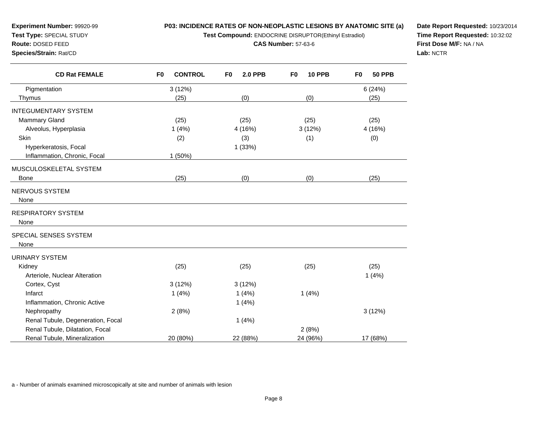**Test Compound:** ENDOCRINE DISRUPTOR(Ethinyl Estradiol)

**CAS Number:** 57-63-6

**Date Report Requested:** 10/23/2014**Time Report Requested:** 10:32:02**First Dose M/F:** NA / NA**Lab:** NCTR

| <b>CD Rat FEMALE</b>              | <b>CONTROL</b><br>F <sub>0</sub> | <b>2.0 PPB</b><br>F0 | F <sub>0</sub><br><b>10 PPB</b> | <b>50 PPB</b><br>F <sub>0</sub> |
|-----------------------------------|----------------------------------|----------------------|---------------------------------|---------------------------------|
| Pigmentation                      | 3(12%)                           |                      |                                 | 6(24%)                          |
| Thymus                            | (25)                             | (0)                  | (0)                             | (25)                            |
| INTEGUMENTARY SYSTEM              |                                  |                      |                                 |                                 |
| <b>Mammary Gland</b>              | (25)                             | (25)                 | (25)                            | (25)                            |
| Alveolus, Hyperplasia             | 1(4%)                            | 4 (16%)              | 3(12%)                          | 4 (16%)                         |
| Skin                              | (2)                              | (3)                  | (1)                             | (0)                             |
| Hyperkeratosis, Focal             |                                  | 1(33%)               |                                 |                                 |
| Inflammation, Chronic, Focal      | 1(50%)                           |                      |                                 |                                 |
| MUSCULOSKELETAL SYSTEM            |                                  |                      |                                 |                                 |
| <b>Bone</b>                       | (25)                             | (0)                  | (0)                             | (25)                            |
| NERVOUS SYSTEM                    |                                  |                      |                                 |                                 |
| None                              |                                  |                      |                                 |                                 |
|                                   |                                  |                      |                                 |                                 |
| RESPIRATORY SYSTEM                |                                  |                      |                                 |                                 |
| None                              |                                  |                      |                                 |                                 |
| SPECIAL SENSES SYSTEM             |                                  |                      |                                 |                                 |
| None                              |                                  |                      |                                 |                                 |
| URINARY SYSTEM                    |                                  |                      |                                 |                                 |
| Kidney                            | (25)                             | (25)                 | (25)                            | (25)                            |
| Arteriole, Nuclear Alteration     |                                  |                      |                                 | 1(4%)                           |
| Cortex, Cyst                      | 3(12%)                           | 3(12%)               |                                 |                                 |
| Infarct                           | 1(4%)                            | 1(4%)                | 1(4%)                           |                                 |
| Inflammation, Chronic Active      |                                  | 1(4%)                |                                 |                                 |
| Nephropathy                       | 2(8%)                            |                      |                                 | 3(12%)                          |
| Renal Tubule, Degeneration, Focal |                                  | 1(4%)                |                                 |                                 |
| Renal Tubule, Dilatation, Focal   |                                  |                      | 2(8%)                           |                                 |
| Renal Tubule, Mineralization      | 20 (80%)                         | 22 (88%)             | 24 (96%)                        | 17 (68%)                        |

a - Number of animals examined microscopically at site and number of animals with lesion